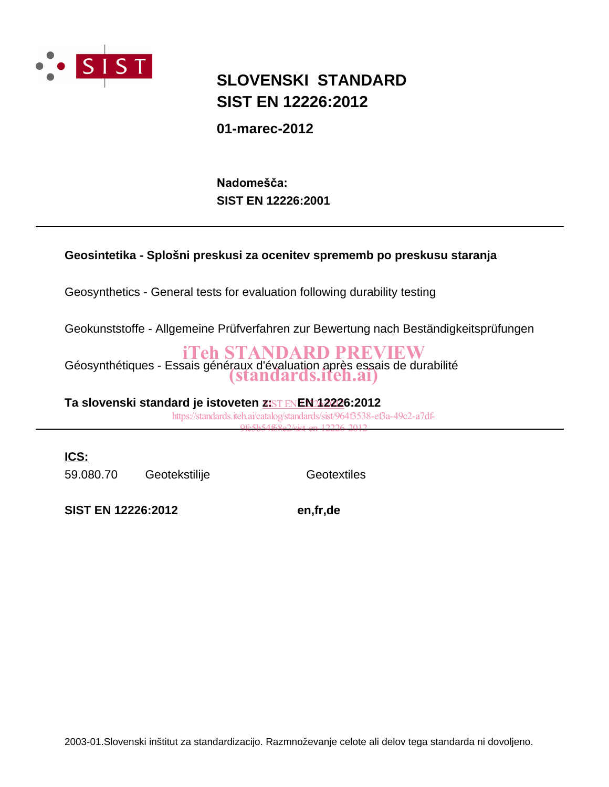

## **SIST EN 12226:2012 SLOVENSKI STANDARD**

**01-marec-2012**

**SIST EN 12226:2001** Nadomešča:

## **Geosintetika - Splošni preskusi za ocenitev sprememb po preskusu staranja**

Geosynthetics - General tests for evaluation following durability testing

Geokunststoffe - Allgemeine Prüfverfahren zur Bewertung nach Beständigkeitsprüfungen

Géosynthétiques - Essais généraux d'évaluation après essais de durabilité iTeh STANDARD PREVIEW (standards.iteh.ai)

Ta slovenski standard je istoveten <u>z: $\overline{\text{FNRNN}}$ 1222</u>6:2012 https://standards.iteh.ai/catalog/standards/sist/964f3538-ef3a-49c2-a7df-

9fe5b54f68e2/sist-en-12226-2012

**ICS:**

59.080.70 Geotekstilije Geotextiles

**SIST EN 12226:2012 en,fr,de**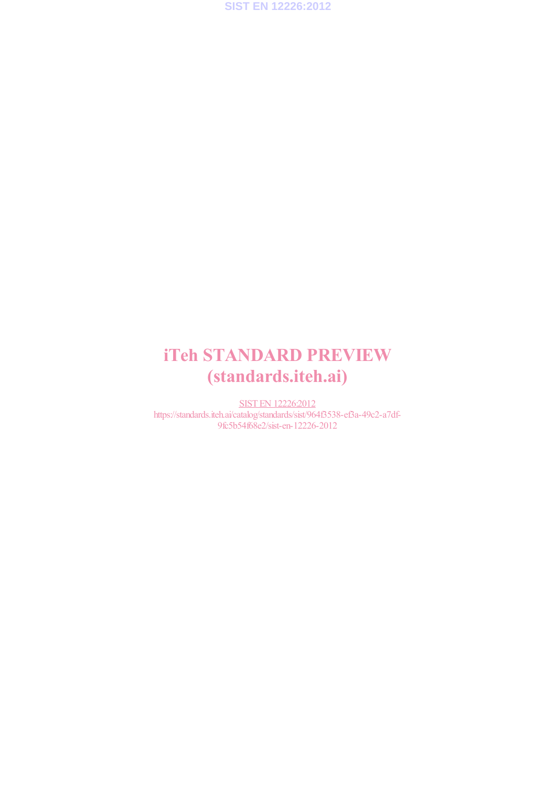

# iTeh STANDARD PREVIEW (standards.iteh.ai)

SIST EN 12226:2012 https://standards.iteh.ai/catalog/standards/sist/964f3538-ef3a-49c2-a7df-9fc5b54f68e2/sist-en-12226-2012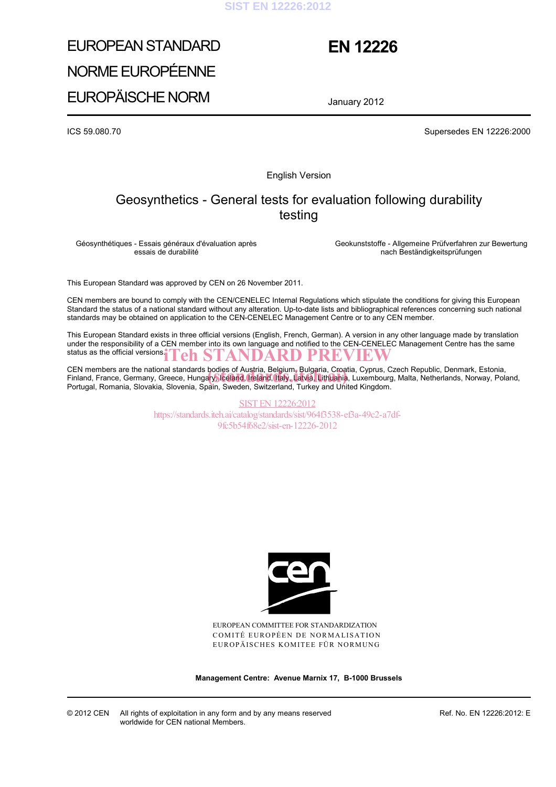#### **SIST EN 12226:2012**

# EUROPEAN STANDARD NORME EUROPÉENNE EUROPÄISCHE NORM

## **EN 12226**

January 2012

ICS 59.080.70 Supersedes EN 12226:2000

English Version

## Geosynthetics - General tests for evaluation following durability testing

Géosynthétiques - Essais généraux d'évaluation après essais de durabilité

 Geokunststoffe - Allgemeine Prüfverfahren zur Bewertung nach Beständigkeitsprüfungen

This European Standard was approved by CEN on 26 November 2011.

CEN members are bound to comply with the CEN/CENELEC Internal Regulations which stipulate the conditions for giving this European Standard the status of a national standard without any alteration. Up-to-date lists and bibliographical references concerning such national standards may be obtained on application to the CEN-CENELEC Management Centre or to any CEN member.

This European Standard exists in three official versions (English, French, German). A version in any other language made by translation under the responsibility of a CEN member into its own language and notified to the CEN-CENELEC Management Centre has the same status as the official versions. iTeh STANDARD PREVIEW

CEN members are the national standards bodies of Austria, Belgium, Bulgaria, Croatia, Cyprus, Czech Republic, Denmark, Estonia, CEN members are the national standards bodies of Austria, Belgium, Bulgaria, Croatia, Cyprus, Czech Republic, Denmark, Estonia,<br>Finland, France, Germany, Greece, Hungary, Iceland, Ireland, Italy, Latvia, Lithuania, Luxembo Portugal, Romania, Slovakia, Slovenia, Spain, Sweden, Switzerland, Turkey and United Kingdom.

> SIST EN 12226:2012 https://standards.iteh.ai/catalog/standards/sist/964f3538-ef3a-49c2-a7df-9fc5b54f68e2/sist-en-12226-2012



EUROPEAN COMMITTEE FOR STANDARDIZATION COMITÉ EUROPÉEN DE NORMALISATION EUROPÄISCHES KOMITEE FÜR NORMUNG

**Management Centre: Avenue Marnix 17, B-1000 Brussels** 

Ref. No. EN 12226:2012: E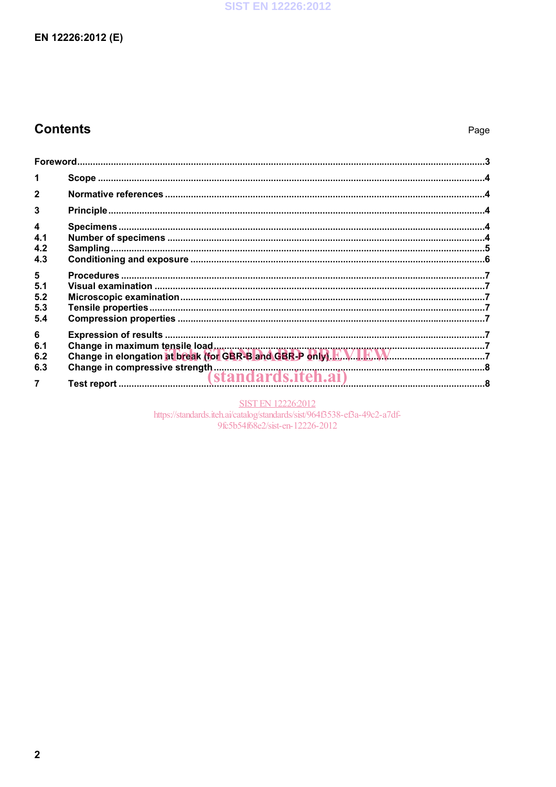### **SIST EN 12226:2012**

## EN 12226:2012 (E)

## **Contents**

| 1                                     |  |  |  |  |
|---------------------------------------|--|--|--|--|
| $\mathbf{2}$                          |  |  |  |  |
| 3                                     |  |  |  |  |
| $\overline{\mathbf{4}}$<br>4.1<br>4.2 |  |  |  |  |
| 4.3<br>5<br>5.1                       |  |  |  |  |
| 5.2<br>5.3<br>5.4                     |  |  |  |  |
| 6<br>6.1<br>6.2                       |  |  |  |  |
| 6.3<br>$\overline{7}$                 |  |  |  |  |

SIST EN 12226:2012<br>https://standards.iteh.ai/catalog/standards/sist/964f3538-ef3a-49c2-a7df-9fc5b54f68e2/sist-en-12226-2012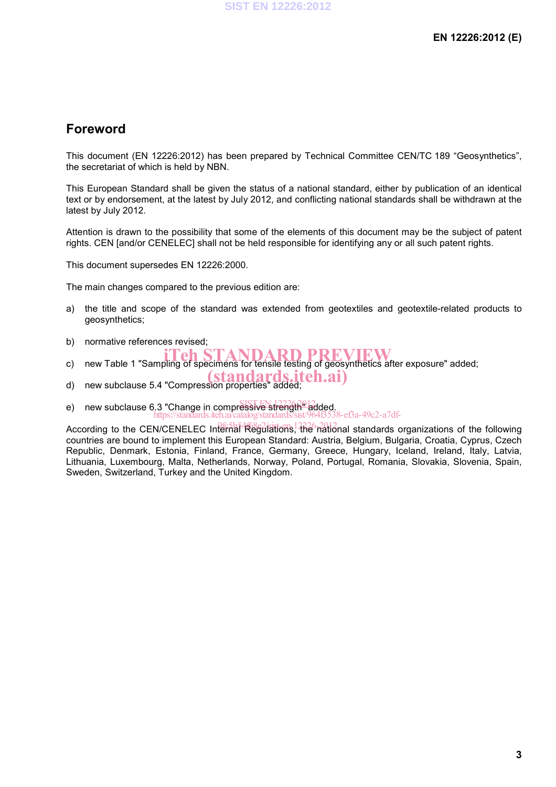## **Foreword**

This document (EN 12226:2012) has been prepared by Technical Committee CEN/TC 189 "Geosynthetics", the secretariat of which is held by NBN.

This European Standard shall be given the status of a national standard, either by publication of an identical text or by endorsement, at the latest by July 2012, and conflicting national standards shall be withdrawn at the latest by July 2012.

Attention is drawn to the possibility that some of the elements of this document may be the subject of patent rights. CEN [and/or CENELEC] shall not be held responsible for identifying any or all such patent rights.

This document supersedes EN 12226:2000.

The main changes compared to the previous edition are:

- a) the title and scope of the standard was extended from geotextiles and geotextile-related products to geosynthetics;
- b) normative references revised;
- c) new Table 1 "Sampling of specimens for tensile testing of geosynthetics after exposure" added;
- d) new subclause 5.4 "Compression properties" added;
- 
- e) new subclause 6.3 "Change in compressive strength" added.  $3-ef3a-49c2-a7df$

According to the CEN/CENELEC Internal Regulations, the national standards organizations of the following countries are bound to implement this European Standard: Austria, Belgium, Bulgaria, Croatia, Cyprus, Czech Republic, Denmark, Estonia, Finland, France, Germany, Greece, Hungary, Iceland, Ireland, Italy, Latvia, Lithuania, Luxembourg, Malta, Netherlands, Norway, Poland, Portugal, Romania, Slovakia, Slovenia, Spain, Sweden, Switzerland, Turkey and the United Kingdom.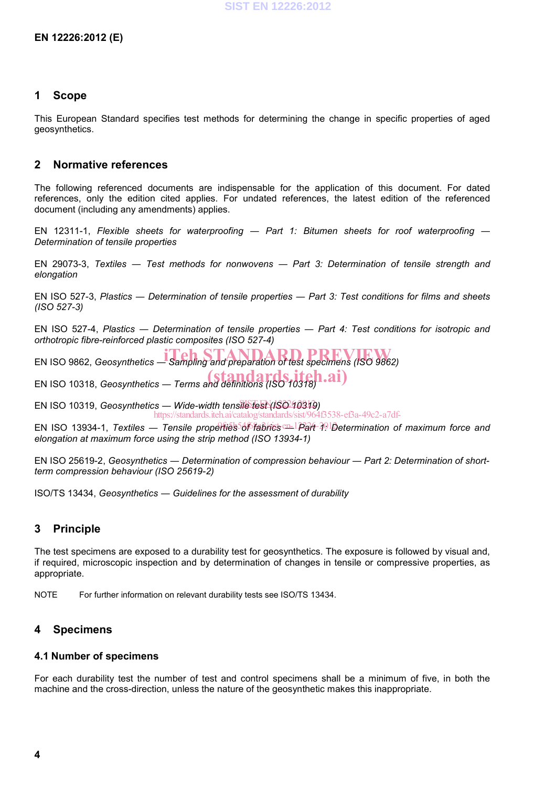### **1 Scope**

This European Standard specifies test methods for determining the change in specific properties of aged geosynthetics.

## **2 Normative references**

The following referenced documents are indispensable for the application of this document. For dated references, only the edition cited applies. For undated references, the latest edition of the referenced document (including any amendments) applies.

EN 12311-1, *Flexible sheets for waterproofing ― Part 1: Bitumen sheets for roof waterproofing ― Determination of tensile properties*

EN 29073-3, *Textiles ― Test methods for nonwovens ― Part 3: Determination of tensile strength and elongation* 

EN ISO 527-3, *Plastics ― Determination of tensile properties ― Part 3: Test conditions for films and sheets (ISO 527-3)*

EN ISO 527-4, *Plastics ― Determination of tensile properties ― Part 4: Test conditions for isotropic and orthotropic fibre-reinforced plastic composites (ISO 527-4)* 

**EN ISO 9862,** *Geosynthetics* — *Sampling and preparation of test specimens (ISO 9862)* 

EN ISO 10318, *Geosynthetics ― Terms and definitions (ISO 10318)* (standards.iteh.ai)

EN ISO 10319, *Geosynthetics ― Wide-width tensile test (ISO 10319)* SIST EN 12226:2012 https://standards.iteh.ai/catalog/standards/sist/964f3538-ef3a-49c2-a7df-

EN ISO 13934-1, *Textiles ― Tensile properties of fabrics ― Part 1: Determination of maximum force and*  9fc5b54f68e2/sist-en-12226-2012*elongation at maximum force using the strip method (ISO 13934-1)* 

EN ISO 25619-2, *Geosynthetics ― Determination of compression behaviour ― Part 2: Determination of shortterm compression behaviour (ISO 25619-2)*

ISO/TS 13434, *Geosynthetics ― Guidelines for the assessment of durability* 

## **3 Principle**

The test specimens are exposed to a durability test for geosynthetics. The exposure is followed by visual and, if required, microscopic inspection and by determination of changes in tensile or compressive properties, as appropriate.

NOTE For further information on relevant durability tests see ISO/TS 13434.

## **4 Specimens**

#### **4.1 Number of specimens**

For each durability test the number of test and control specimens shall be a minimum of five, in both the machine and the cross-direction, unless the nature of the geosynthetic makes this inappropriate.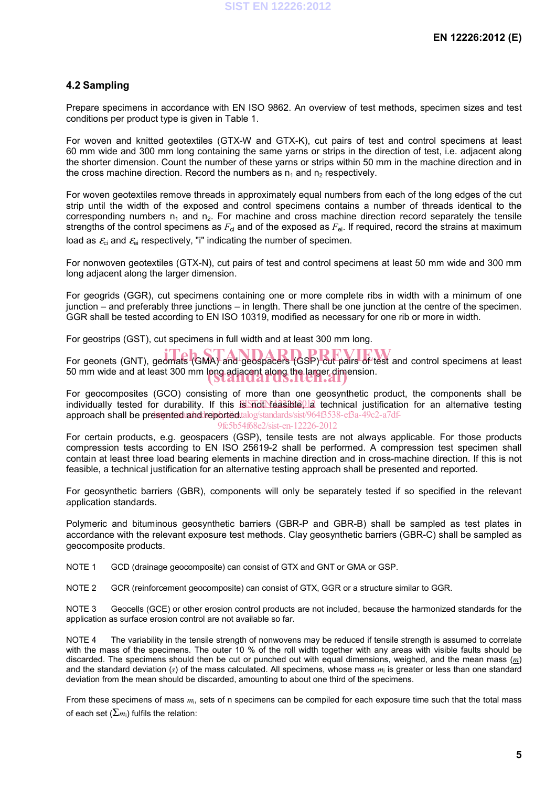### **4.2 Sampling**

Prepare specimens in accordance with EN ISO 9862. An overview of test methods, specimen sizes and test conditions per product type is given in Table 1.

For woven and knitted geotextiles (GTX-W and GTX-K), cut pairs of test and control specimens at least 60 mm wide and 300 mm long containing the same yarns or strips in the direction of test, i.e. adjacent along the shorter dimension. Count the number of these yarns or strips within 50 mm in the machine direction and in the cross machine direction. Record the numbers as  $n_1$  and  $n_2$  respectively.

For woven geotextiles remove threads in approximately equal numbers from each of the long edges of the cut strip until the width of the exposed and control specimens contains a number of threads identical to the corresponding numbers  $n_1$  and  $n_2$ . For machine and cross machine direction record separately the tensile strengths of the control specimens as  $F_{ci}$  and of the exposed as  $F_{ei}$ . If required, record the strains at maximum load as  $\mathcal{E}_{ci}$  and  $\mathcal{E}_{ei}$  respectively, "i" indicating the number of specimen.

For nonwoven geotextiles (GTX-N), cut pairs of test and control specimens at least 50 mm wide and 300 mm long adjacent along the larger dimension.

For geogrids (GGR), cut specimens containing one or more complete ribs in width with a minimum of one junction – and preferably three junctions – in length. There shall be one junction at the centre of the specimen. GGR shall be tested according to EN ISO 10319, modified as necessary for one rib or more in width.

For geostrips (GST), cut specimens in full width and at least 300 mm long.

For geonets (GNT), geomats (GMA) and geospacers (GSP) cut pairs of test and control specimens at least 50 mm wide and at least 300 mm long adjacent along the larger dimension.<br>
Standard Standards.

For geocomposites (GCO) consisting of more than one geosynthetic product, the components shall be individually tested for durability. If this is not reasible, a technical justification for an alternative testing approach shall be presented and reported talog/standards/sist/964f3538-ef3a-49c2-a7df-9fc5b54f68e2/sist-en-12226-2012

For certain products, e.g. geospacers (GSP), tensile tests are not always applicable. For those products compression tests according to EN ISO 25619-2 shall be performed. A compression test specimen shall contain at least three load bearing elements in machine direction and in cross-machine direction. If this is not feasible, a technical justification for an alternative testing approach shall be presented and reported.

For geosynthetic barriers (GBR), components will only be separately tested if so specified in the relevant application standards.

Polymeric and bituminous geosynthetic barriers (GBR-P and GBR-B) shall be sampled as test plates in accordance with the relevant exposure test methods. Clay geosynthetic barriers (GBR-C) shall be sampled as geocomposite products.

NOTE 1 GCD (drainage geocomposite) can consist of GTX and GNT or GMA or GSP.

NOTE 2 GCR (reinforcement geocomposite) can consist of GTX, GGR or a structure similar to GGR.

NOTE 3 Geocells (GCE) or other erosion control products are not included, because the harmonized standards for the application as surface erosion control are not available so far.

NOTE 4 The variability in the tensile strength of nonwovens may be reduced if tensile strength is assumed to correlate with the mass of the specimens. The outer 10 % of the roll width together with any areas with visible faults should be discarded. The specimens should then be cut or punched out with equal dimensions, weighed, and the mean mass (*m*) and the standard deviation (*s*) of the mass calculated. All specimens, whose mass *m*i is greater or less than one standard deviation from the mean should be discarded, amounting to about one third of the specimens.

From these specimens of mass *m*i, sets of n specimens can be compiled for each exposure time such that the total mass of each set  $(\Sigma_{m_i})$  fulfils the relation: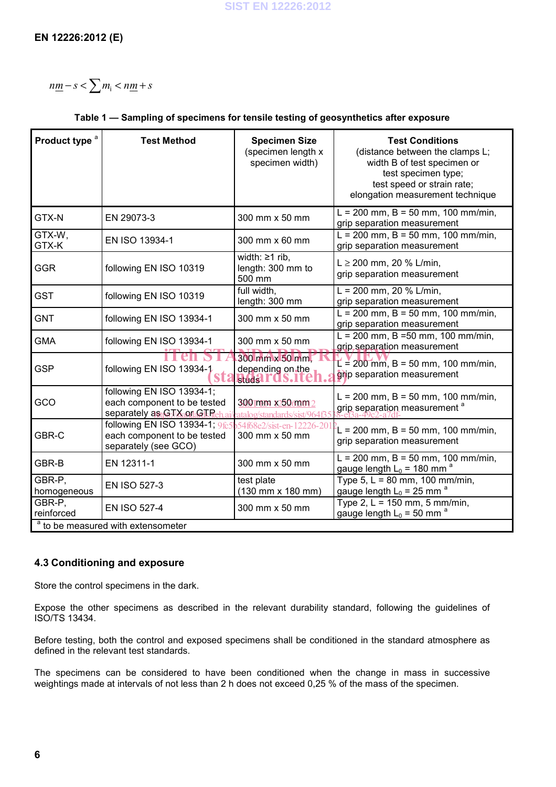$n\underline{m} - s < \sum m_i < n\underline{m} + s$ 

### **Table 1 — Sampling of specimens for tensile testing of geosynthetics after exposure**

| Product type <sup>a</sup>                     | <b>Test Method</b>                                                                     | <b>Specimen Size</b><br>(specimen length x<br>specimen width) | <b>Test Conditions</b><br>(distance between the clamps L;<br>width B of test specimen or<br>test specimen type;<br>test speed or strain rate;<br>elongation measurement technique |  |  |  |
|-----------------------------------------------|----------------------------------------------------------------------------------------|---------------------------------------------------------------|-----------------------------------------------------------------------------------------------------------------------------------------------------------------------------------|--|--|--|
| GTX-N                                         | EN 29073-3                                                                             | 300 mm x 50 mm                                                | $L = 200$ mm, B = 50 mm, 100 mm/min,<br>grip separation measurement                                                                                                               |  |  |  |
| GTX-W,<br>GTX-K                               | EN ISO 13934-1                                                                         | 300 mm x 60 mm                                                | $L = 200$ mm, B = 50 mm, 100 mm/min,<br>grip separation measurement                                                                                                               |  |  |  |
| <b>GGR</b>                                    | following EN ISO 10319                                                                 | width: $\geq 1$ rib,<br>length: 300 mm to<br>500 mm           | $L \ge 200$ mm, 20 % L/min,<br>grip separation measurement                                                                                                                        |  |  |  |
| <b>GST</b>                                    | following EN ISO 10319                                                                 | full width,<br>length: 300 mm                                 | L = 200 mm, 20 % L/min,<br>grip separation measurement                                                                                                                            |  |  |  |
| <b>GNT</b>                                    | following EN ISO 13934-1                                                               | 300 mm x 50 mm                                                | $L = 200$ mm, B = 50 mm, 100 mm/min,<br>grip separation measurement                                                                                                               |  |  |  |
| <b>GMA</b>                                    | following EN ISO 13934-1                                                               | 300 mm x 50 mm                                                | $L = 200$ mm, B =50 mm, 100 mm/min,<br>grip separation measurement                                                                                                                |  |  |  |
| <b>GSP</b>                                    | following EN ISO 13934-1<br>SIZ                                                        | 300 mm x 50 mm.<br>depending on the<br><b>HIJATUS.I</b>       | $L = 200$ mm, B = 50 mm, 100 mm/min,<br>grip separation measurement                                                                                                               |  |  |  |
| GCO                                           | following EN ISO 13934-1;<br>each component to be tested<br>separately as GTX on GTRe  | 300 mm x250 mm 2<br>atalog/standards/sist/964f35              | $L = 200$ mm, B = 50 mm, 100 mm/min,<br>grip separation measurement <sup>a</sup>                                                                                                  |  |  |  |
| GBR-C                                         | following EN ISO 13934-1; $965$<br>each component to be tested<br>separately (see GCO) | 54f68e2/sist-en-12226-20<br>300 mm x 50 mm                    | $L = 200$ mm, B = 50 mm, 100 mm/min,<br>grip separation measurement                                                                                                               |  |  |  |
| GBR-B                                         | EN 12311-1                                                                             | 300 mm x 50 mm                                                | $L = 200$ mm, B = 50 mm, 100 mm/min,<br>gauge length $L_0$ = 180 mm <sup>a</sup>                                                                                                  |  |  |  |
| GBR-P,<br>homogeneous                         | <b>EN ISO 527-3</b>                                                                    | test plate<br>(130 mm x 180 mm)                               | Type $5, L = 80$ mm, 100 mm/min,<br>gauge length $L_0 = 25$ mm <sup>a</sup>                                                                                                       |  |  |  |
| GBR-P,<br>reinforced                          | <b>EN ISO 527-4</b>                                                                    | 300 mm x 50 mm                                                | Type 2, $L = 150$ mm, 5 mm/min,<br>gauge length $L_0$ = 50 mm <sup>a</sup>                                                                                                        |  |  |  |
| <sup>a</sup> to be measured with extensometer |                                                                                        |                                                               |                                                                                                                                                                                   |  |  |  |

## **4.3 Conditioning and exposure**

Store the control specimens in the dark.

Expose the other specimens as described in the relevant durability standard, following the guidelines of ISO/TS 13434.

Before testing, both the control and exposed specimens shall be conditioned in the standard atmosphere as defined in the relevant test standards.

The specimens can be considered to have been conditioned when the change in mass in successive weightings made at intervals of not less than 2 h does not exceed 0,25 % of the mass of the specimen.